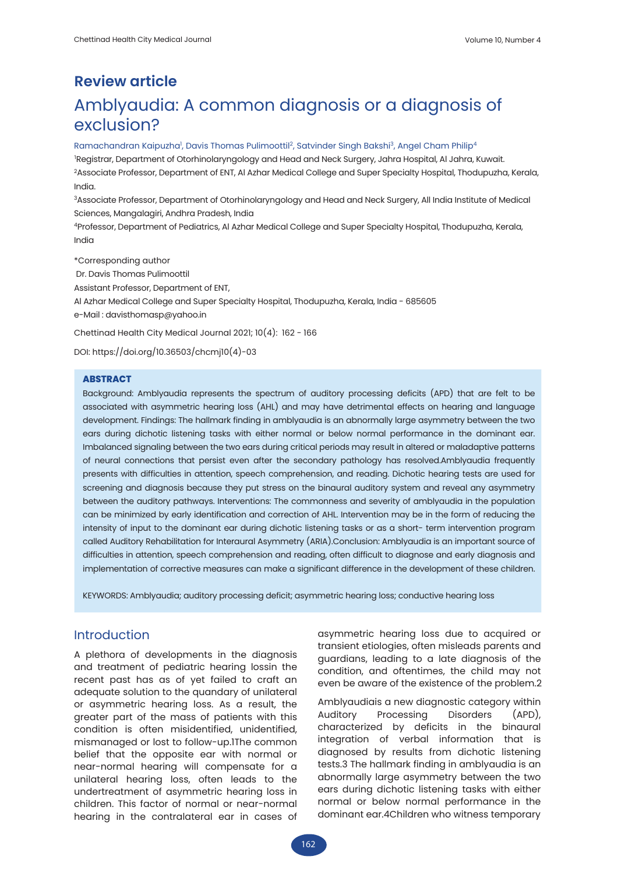# **Review article** Amblyaudia: A common diagnosis or a diagnosis of exclusion?

#### Ramachandran Kaipuzha<sup>1</sup>, Davis Thomas Pulimoottil<sup>2</sup>, Satvinder Singh Bakshi<sup>3</sup>, Angel Cham Philip<sup>4</sup>

1 Registrar, Department of Otorhinolaryngology and Head and Neck Surgery, Jahra Hospital, Al Jahra, Kuwait. 2Associate Professor, Department of ENT, Al Azhar Medical College and Super Specialty Hospital, Thodupuzha, Kerala, India.

3Associate Professor, Department of Otorhinolaryngology and Head and Neck Surgery, All India Institute of Medical Sciences, Mangalagiri, Andhra Pradesh, India

4Professor, Department of Pediatrics, Al Azhar Medical College and Super Specialty Hospital, Thodupuzha, Kerala, India

\*Corresponding author

Dr. Davis Thomas Pulimoottil

Assistant Professor, Department of ENT,

Al Azhar Medical College and Super Specialty Hospital, Thodupuzha, Kerala, India - 685605 e-Mail : davisthomasp@yahoo.in

Chettinad Health City Medical Journal 2021; 10(4): 162 - 166

DOI: https://doi.org/10.36503/chcmj10(4)-03

#### **ABSTRACT**

Background: Amblyaudia represents the spectrum of auditory processing deficits (APD) that are felt to be associated with asymmetric hearing loss (AHL) and may have detrimental effects on hearing and language development. Findings: The hallmark finding in amblyaudia is an abnormally large asymmetry between the two ears during dichotic listening tasks with either normal or below normal performance in the dominant ear. Imbalanced signaling between the two ears during critical periods may result in altered or maladaptive patterns of neural connections that persist even after the secondary pathology has resolved.Amblyaudia frequently presents with difficulties in attention, speech comprehension, and reading. Dichotic hearing tests are used for screening and diagnosis because they put stress on the binaural auditory system and reveal any asymmetry between the auditory pathways. Interventions: The commonness and severity of amblyaudia in the population can be minimized by early identification and correction of AHL. Intervention may be in the form of reducing the intensity of input to the dominant ear during dichotic listening tasks or as a short- term intervention program called Auditory Rehabilitation for Interaural Asymmetry (ARIA).Conclusion: Amblyaudia is an important source of difficulties in attention, speech comprehension and reading, often difficult to diagnose and early diagnosis and implementation of corrective measures can make a significant difference in the development of these children.

KEYWORDS: Amblyaudia; auditory processing deficit; asymmetric hearing loss; conductive hearing loss

#### Introduction

A plethora of developments in the diagnosis and treatment of pediatric hearing lossin the recent past has as of yet failed to craft an adequate solution to the quandary of unilateral or asymmetric hearing loss. As a result, the greater part of the mass of patients with this condition is often misidentified, unidentified, mismanaged or lost to follow-up.1The common belief that the opposite ear with normal or near-normal hearing will compensate for a unilateral hearing loss, often leads to the undertreatment of asymmetric hearing loss in children. This factor of normal or near-normal hearing in the contralateral ear in cases of asymmetric hearing loss due to acquired or transient etiologies, often misleads parents and guardians, leading to a late diagnosis of the condition, and oftentimes, the child may not even be aware of the existence of the problem.2

Amblyaudiais a new diagnostic category within Auditory Processing Disorders (APD), characterized by deficits in the binaural integration of verbal information that is diagnosed by results from dichotic listening tests.3 The hallmark finding in amblyaudia is an abnormally large asymmetry between the two ears during dichotic listening tasks with either normal or below normal performance in the dominant ear.4Children who witness temporary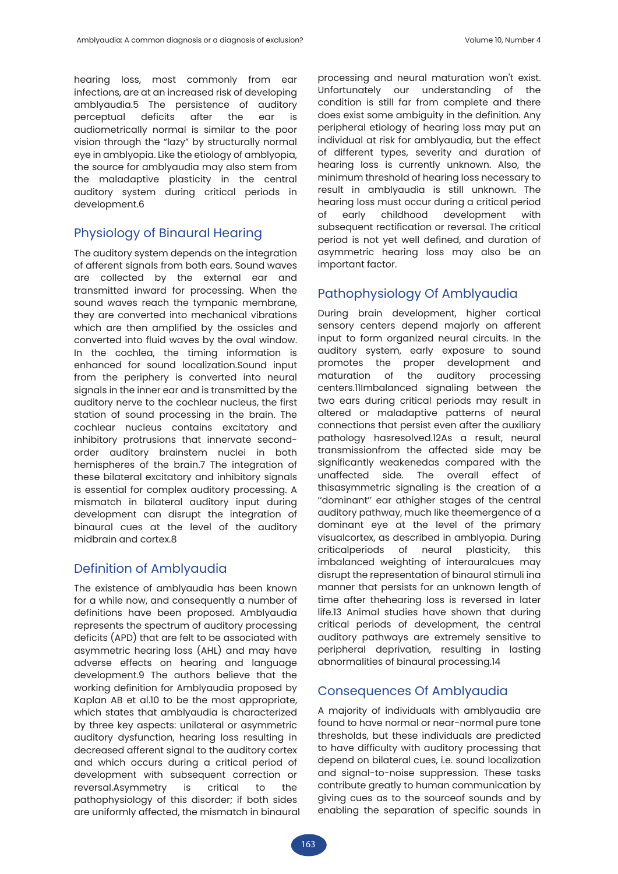hearing loss, most commonly from ear infections, are at an increased risk of developing amblyaudia.5 The persistence of auditory perceptual deficits after the ear is audiometrically normal is similar to the poor vision through the "lazy" by structurally normal eye in amblyopia. Like the etiology of amblyopia, the source for amblyaudia may also stem from the maladaptive plasticity in the central auditory system during critical periods in development.6

### Physiology of Binaural Hearing

The auditory system depends on the integration of afferent signals from both ears. Sound waves are collected by the external ear and transmitted inward for processing. When the sound waves reach the tympanic membrane, they are converted into mechanical vibrations which are then amplified by the ossicles and converted into fluid waves by the oval window. In the cochlea, the timing information is enhanced for sound localization.Sound input from the periphery is converted into neural signals in the inner ear and is transmitted by the auditory nerve to the cochlear nucleus, the first station of sound processing in the brain. The cochlear nucleus contains excitatory and inhibitory protrusions that innervate secondorder auditory brainstem nuclei in both hemispheres of the brain.7 The integration of these bilateral excitatory and inhibitory signals is essential for complex auditory processing. A mismatch in bilateral auditory input during development can disrupt the integration of binaural cues at the level of the auditory midbrain and cortex.8

# Definition of Amblyaudia

The existence of amblyaudia has been known for a while now, and consequently a number of definitions have been proposed. Amblyaudia represents the spectrum of auditory processing deficits (APD) that are felt to be associated with asymmetric hearing loss (AHL) and may have adverse effects on hearing and language development.9 The authors believe that the working definition for Amblyaudia proposed by Kaplan AB et al.10 to be the most appropriate, which states that amblyaudia is characterized by three key aspects: unilateral or asymmetric auditory dysfunction, hearing loss resulting in decreased afferent signal to the auditory cortex and which occurs during a critical period of development with subsequent correction or reversal.Asymmetry is critical to the pathophysiology of this disorder; if both sides are uniformly affected, the mismatch in binaural processing and neural maturation won't exist. Unfortunately our understanding of the condition is still far from complete and there does exist some ambiguity in the definition. Any peripheral etiology of hearing loss may put an individual at risk for amblyaudia, but the effect of different types, severity and duration of hearing loss is currently unknown. Also, the minimum threshold of hearing loss necessary to result in amblyaudia is still unknown. The hearing loss must occur during a critical period of early childhood development with subsequent rectification or reversal. The critical period is not yet well defined, and duration of asymmetric hearing loss may also be an important factor.

# Pathophysiology Of Amblyaudia

During brain development, higher cortical sensory centers depend majorly on afferent input to form organized neural circuits. In the auditory system, early exposure to sound promotes the proper development and maturation of the auditory processing centers.11Imbalanced signaling between the two ears during critical periods may result in altered or maladaptive patterns of neural connections that persist even after the auxiliary pathology hasresolved.12As a result, neural transmissionfrom the affected side may be significantly weakenedas compared with the unaffected side. The overall effect of thisasymmetric signaling is the creation of a ''dominant'' ear athigher stages of the central auditory pathway, much like theemergence of a dominant eye at the level of the primary visualcortex, as described in amblyopia. During criticalperiods of neural plasticity, this imbalanced weighting of interauralcues may disrupt the representation of binaural stimuli ina manner that persists for an unknown length of time after thehearing loss is reversed in later life.13 Animal studies have shown that during critical periods of development, the central auditory pathways are extremely sensitive to peripheral deprivation, resulting in lasting abnormalities of binaural processing.14

# Consequences Of Amblyaudia

A majority of individuals with amblyaudia are found to have normal or near-normal pure tone thresholds, but these individuals are predicted to have difficulty with auditory processing that depend on bilateral cues, i.e. sound localization and signal-to-noise suppression. These tasks contribute greatly to human communication by giving cues as to the sourceof sounds and by enabling the separation of specific sounds in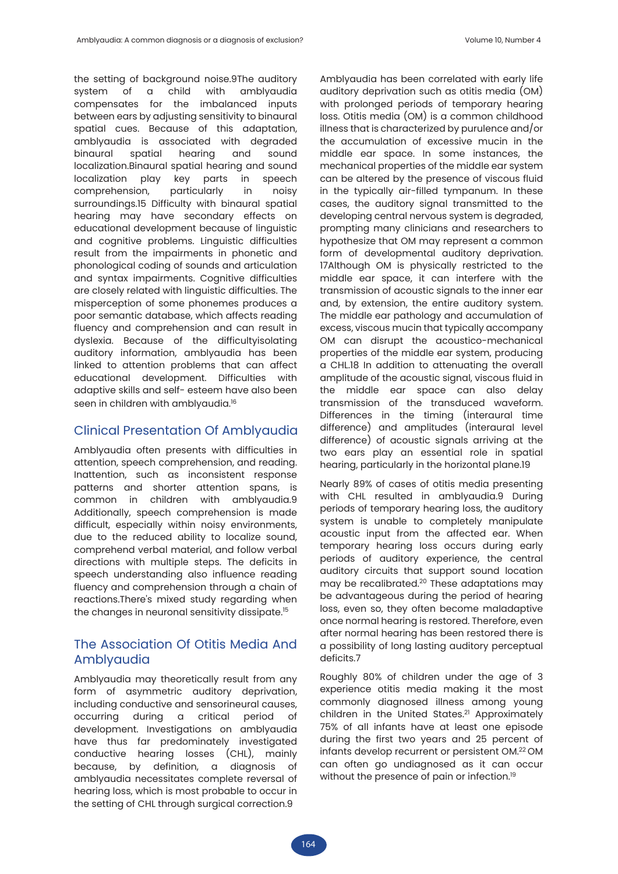the setting of background noise.9The auditory<br>system of a child with amblyaudia system of a child with amblyaudia compensates for the imbalanced inputs between ears by adjusting sensitivity to binaural spatial cues. Because of this adaptation, amblyaudia is associated with degraded binaural spatial hearing and sound localization.Binaural spatial hearing and sound localization play key parts in speech comprehension, particularly in noisy surroundings.15 Difficulty with binaural spatial hearing may have secondary effects on educational development because of linguistic and cognitive problems. Linguistic difficulties result from the impairments in phonetic and phonological coding of sounds and articulation and syntax impairments. Cognitive difficulties are closely related with linguistic difficulties. The misperception of some phonemes produces a poor semantic database, which affects reading fluency and comprehension and can result in dyslexia. Because of the difficultyisolating auditory information, amblyaudia has been linked to attention problems that can affect educational development. Difficulties with adaptive skills and self- esteem have also been seen in children with amblyaudia.<sup>16</sup>

### Clinical Presentation Of Amblyaudia

Amblyaudia often presents with difficulties in attention, speech comprehension, and reading. Inattention, such as inconsistent response patterns and shorter attention spans, is common in children with amblyaudia.9 Additionally, speech comprehension is made difficult, especially within noisy environments, due to the reduced ability to localize sound, comprehend verbal material, and follow verbal directions with multiple steps. The deficits in speech understanding also influence reading fluency and comprehension through a chain of reactions.There's mixed study regarding when the changes in neuronal sensitivity dissipate.15

# The Association Of Otitis Media And Amblyaudia

Amblyaudia may theoretically result from any form of asymmetric auditory deprivation, including conductive and sensorineural causes, occurring during a critical period of development. Investigations on amblyaudia have thus far predominately investigated conductive hearing losses (CHL), mainly because, by definition, a diagnosis of amblyaudia necessitates complete reversal of hearing loss, which is most probable to occur in the setting of CHL through surgical correction.9

Amblyaudia has been correlated with early life auditory deprivation such as otitis media (OM) with prolonged periods of temporary hearing loss. Otitis media (OM) is a common childhood illness that is characterized by purulence and/or the accumulation of excessive mucin in the middle ear space. In some instances, the mechanical properties of the middle ear system can be altered by the presence of viscous fluid in the typically air-filled tympanum. In these cases, the auditory signal transmitted to the developing central nervous system is degraded, prompting many clinicians and researchers to hypothesize that OM may represent a common form of developmental auditory deprivation. 17Although OM is physically restricted to the middle ear space, it can interfere with the transmission of acoustic signals to the inner ear and, by extension, the entire auditory system. The middle ear pathology and accumulation of excess, viscous mucin that typically accompany OM can disrupt the acoustico-mechanical properties of the middle ear system, producing a CHL.18 In addition to attenuating the overall amplitude of the acoustic signal, viscous fluid in the middle ear space can also delay transmission of the transduced waveform. Differences in the timing (interaural time difference) and amplitudes (interaural level difference) of acoustic signals arriving at the two ears play an essential role in spatial hearing, particularly in the horizontal plane.19

Nearly 89% of cases of otitis media presenting with CHL resulted in amblyaudia.9 During periods of temporary hearing loss, the auditory system is unable to completely manipulate acoustic input from the affected ear. When temporary hearing loss occurs during early periods of auditory experience, the central auditory circuits that support sound location may be recalibrated.<sup>20</sup> These adaptations may be advantageous during the period of hearing loss, even so, they often become maladaptive once normal hearing is restored. Therefore, even after normal hearing has been restored there is a possibility of long lasting auditory perceptual deficits.7

Roughly 80% of children under the age of 3 experience otitis media making it the most commonly diagnosed illness among young children in the United States.<sup>21</sup> Approximately 75% of all infants have at least one episode during the first two years and 25 percent of infants develop recurrent or persistent OM.22 OM can often go undiagnosed as it can occur without the presence of pain or infection.<sup>19</sup>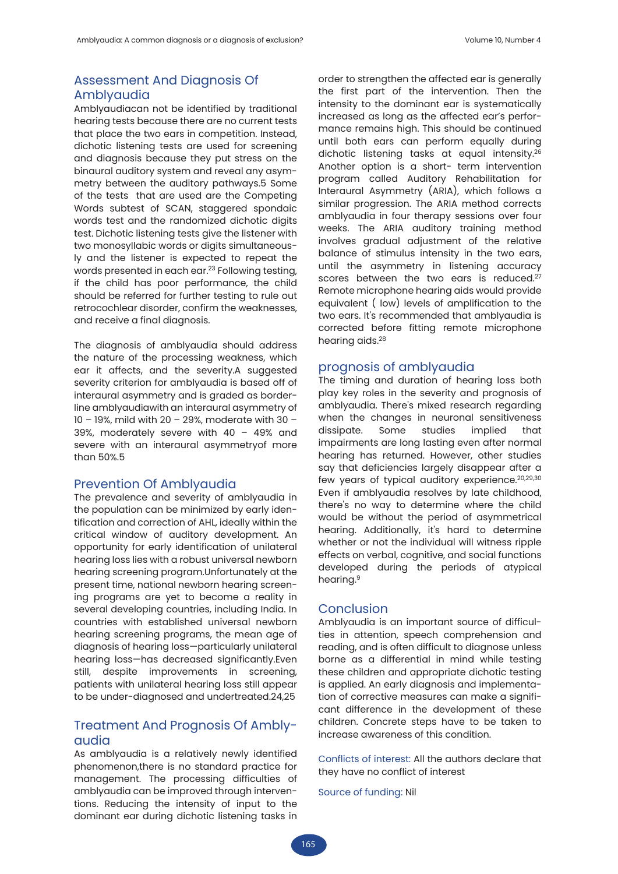## Assessment And Diagnosis Of Amblyaudia

Amblyaudiacan not be identified by traditional hearing tests because there are no current tests that place the two ears in competition. Instead, dichotic listening tests are used for screening and diagnosis because they put stress on the binaural auditory system and reveal any asymmetry between the auditory pathways.5 Some of the tests that are used are the Competing Words subtest of SCAN, staggered spondaic words test and the randomized dichotic digits test. Dichotic listening tests give the listener with two monosyllabic words or digits simultaneously and the listener is expected to repeat the words presented in each ear.<sup>23</sup> Following testing, if the child has poor performance, the child should be referred for further testing to rule out retrocochlear disorder, confirm the weaknesses, and receive a final diagnosis.

The diagnosis of amblyaudia should address the nature of the processing weakness, which ear it affects, and the severity.A suggested severity criterion for amblyaudia is based off of interaural asymmetry and is graded as borderline amblyaudiawith an interaural asymmetry of 10 – 19%, mild with 20 – 29%, moderate with 30 – 39%, moderately severe with 40 – 49% and severe with an interaural asymmetryof more than 50%.5

#### Prevention Of Amblyaudia

The prevalence and severity of amblyaudia in the population can be minimized by early identification and correction of AHL, ideally within the critical window of auditory development. An opportunity for early identification of unilateral hearing loss lies with a robust universal newborn hearing screening program.Unfortunately at the present time, national newborn hearing screening programs are yet to become a reality in several developing countries, including India. In countries with established universal newborn hearing screening programs, the mean age of diagnosis of hearing loss—particularly unilateral hearing loss—has decreased significantly.Even still, despite improvements in screening, patients with unilateral hearing loss still appear to be under-diagnosed and undertreated.24,25

### Treatment And Prognosis Of Amblyaudia

As amblyaudia is a relatively newly identified phenomenon,there is no standard practice for management. The processing difficulties of amblyaudia can be improved through interventions. Reducing the intensity of input to the dominant ear during dichotic listening tasks in

order to strengthen the affected ear is generally the first part of the intervention. Then the intensity to the dominant ear is systematically increased as long as the affected ear's performance remains high. This should be continued until both ears can perform equally during dichotic listening tasks at equal intensity.<sup>26</sup> Another option is a short- term intervention program called Auditory Rehabilitation for Interaural Asymmetry (ARIA), which follows a similar progression. The ARIA method corrects amblyaudia in four therapy sessions over four weeks. The ARIA auditory training method involves gradual adjustment of the relative balance of stimulus intensity in the two ears, until the asymmetry in listening accuracy scores between the two ears is reduced.<sup>27</sup> Remote microphone hearing aids would provide equivalent ( low) levels of amplification to the two ears. It's recommended that amblyaudia is corrected before fitting remote microphone hearing aids.28

#### prognosis of amblyaudia

The timing and duration of hearing loss both play key roles in the severity and prognosis of amblyaudia. There's mixed research regarding when the changes in neuronal sensitiveness dissipate. Some studies implied that impairments are long lasting even after normal hearing has returned. However, other studies say that deficiencies largely disappear after a few years of typical auditory experience.20,29,30 Even if amblyaudia resolves by late childhood, there's no way to determine where the child would be without the period of asymmetrical hearing. Additionally, it's hard to determine whether or not the individual will witness ripple effects on verbal, cognitive, and social functions developed during the periods of atypical hearing.<sup>9</sup>

#### Conclusion

Amblyaudia is an important source of difficulties in attention, speech comprehension and reading, and is often difficult to diagnose unless borne as a differential in mind while testing these children and appropriate dichotic testing is applied. An early diagnosis and implementation of corrective measures can make a significant difference in the development of these children. Concrete steps have to be taken to increase awareness of this condition.

Conflicts of interest: All the authors declare that they have no conflict of interest

Source of funding: Nil